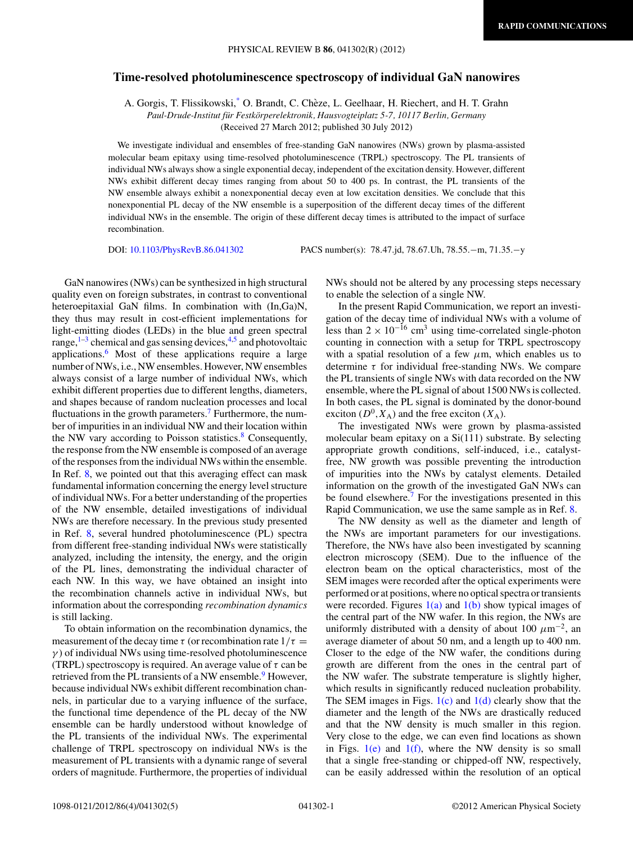## **Time-resolved photoluminescence spectroscopy of individual GaN nanowires**

A. Gorgis, T. Flissikowski[,\\*](#page-3-0) O. Brandt, C. Cheze, L. Geelhaar, H. Riechert, and H. T. Grahn ` *Paul-Drude-Institut fur Festk ¨ orperelektronik, Hausvogteiplatz 5-7, 10117 Berlin, Germany ¨*

(Received 27 March 2012; published 30 July 2012)

We investigate individual and ensembles of free-standing GaN nanowires (NWs) grown by plasma-assisted molecular beam epitaxy using time-resolved photoluminescence (TRPL) spectroscopy. The PL transients of individual NWs always show a single exponential decay, independent of the excitation density. However, different NWs exhibit different decay times ranging from about 50 to 400 ps. In contrast, the PL transients of the NW ensemble always exhibit a nonexponential decay even at low excitation densities. We conclude that this nonexponential PL decay of the NW ensemble is a superposition of the different decay times of the different individual NWs in the ensemble. The origin of these different decay times is attributed to the impact of surface recombination.

DOI: [10.1103/PhysRevB.86.041302](http://dx.doi.org/10.1103/PhysRevB.86.041302) PACS number(s): 78*.*47*.*jd, 78*.*67*.*Uh, 78*.*55*.*−m, 71*.*35*.*−y

GaN nanowires (NWs) can be synthesized in high structural quality even on foreign substrates, in contrast to conventional heteroepitaxial GaN films. In combination with (In,Ga)N, they thus may result in cost-efficient implementations for light-emitting diodes (LEDs) in the blue and green spectral range, $1-3$  chemical and gas sensing devices, $4.5$  and photovoltaic applications[.6](#page-4-0) Most of these applications require a large number of NWs, i.e., NW ensembles. However, NW ensembles always consist of a large number of individual NWs, which exhibit different properties due to different lengths, diameters, and shapes because of random nucleation processes and local fluctuations in the growth parameters.<sup>7</sup> Furthermore, the number of impurities in an individual NW and their location within the NW vary according to Poisson statistics. $8$  Consequently, the response from the NW ensemble is composed of an average of the responses from the individual NWs within the ensemble. In Ref. [8,](#page-4-0) we pointed out that this averaging effect can mask fundamental information concerning the energy level structure of individual NWs. For a better understanding of the properties of the NW ensemble, detailed investigations of individual NWs are therefore necessary. In the previous study presented in Ref. [8,](#page-4-0) several hundred photoluminescence (PL) spectra from different free-standing individual NWs were statistically analyzed, including the intensity, the energy, and the origin of the PL lines, demonstrating the individual character of each NW. In this way, we have obtained an insight into the recombination channels active in individual NWs, but information about the corresponding *recombination dynamics* is still lacking.

To obtain information on the recombination dynamics, the measurement of the decay time  $\tau$  (or recombination rate  $1/\tau$  = *γ* ) of individual NWs using time-resolved photoluminescence (TRPL) spectroscopy is required. An average value of *τ* can be retrieved from the PL transients of a NW ensemble.<sup>[9](#page-4-0)</sup> However, because individual NWs exhibit different recombination channels, in particular due to a varying influence of the surface, the functional time dependence of the PL decay of the NW ensemble can be hardly understood without knowledge of the PL transients of the individual NWs. The experimental challenge of TRPL spectroscopy on individual NWs is the measurement of PL transients with a dynamic range of several orders of magnitude. Furthermore, the properties of individual

NWs should not be altered by any processing steps necessary to enable the selection of a single NW.

In the present Rapid Communication, we report an investigation of the decay time of individual NWs with a volume of less than  $2 \times 10^{-16}$  cm<sup>3</sup> using time-correlated single-photon counting in connection with a setup for TRPL spectroscopy with a spatial resolution of a few  $\mu$ m, which enables us to determine *τ* for individual free-standing NWs. We compare the PL transients of single NWs with data recorded on the NW ensemble, where the PL signal of about 1500 NWs is collected. In both cases, the PL signal is dominated by the donor-bound exciton  $(D^0, X_A)$  and the free exciton  $(X_A)$ .

The investigated NWs were grown by plasma-assisted molecular beam epitaxy on a Si(111) substrate. By selecting appropriate growth conditions, self-induced, i.e., catalystfree, NW growth was possible preventing the introduction of impurities into the NWs by catalyst elements. Detailed information on the growth of the investigated GaN NWs can be found elsewhere.<sup>[7](#page-4-0)</sup> For the investigations presented in this Rapid Communication, we use the same sample as in Ref. [8.](#page-4-0)

The NW density as well as the diameter and length of the NWs are important parameters for our investigations. Therefore, the NWs have also been investigated by scanning electron microscopy (SEM). Due to the influence of the electron beam on the optical characteristics, most of the SEM images were recorded after the optical experiments were performed or at positions, where no optical spectra or transients were recorded. Figures  $1(a)$  and  $1(b)$  show typical images of the central part of the NW wafer. In this region, the NWs are uniformly distributed with a density of about 100  $\mu$ m<sup>-2</sup>, an average diameter of about 50 nm, and a length up to 400 nm. Closer to the edge of the NW wafer, the conditions during growth are different from the ones in the central part of the NW wafer. The substrate temperature is slightly higher, which results in significantly reduced nucleation probability. The SEM images in Figs.  $1(c)$  and  $1(d)$  clearly show that the diameter and the length of the NWs are drastically reduced and that the NW density is much smaller in this region. Very close to the edge, we can even find locations as shown in Figs.  $1(e)$  and  $1(f)$ , where the NW density is so small that a single free-standing or chipped-off NW, respectively, can be easily addressed within the resolution of an optical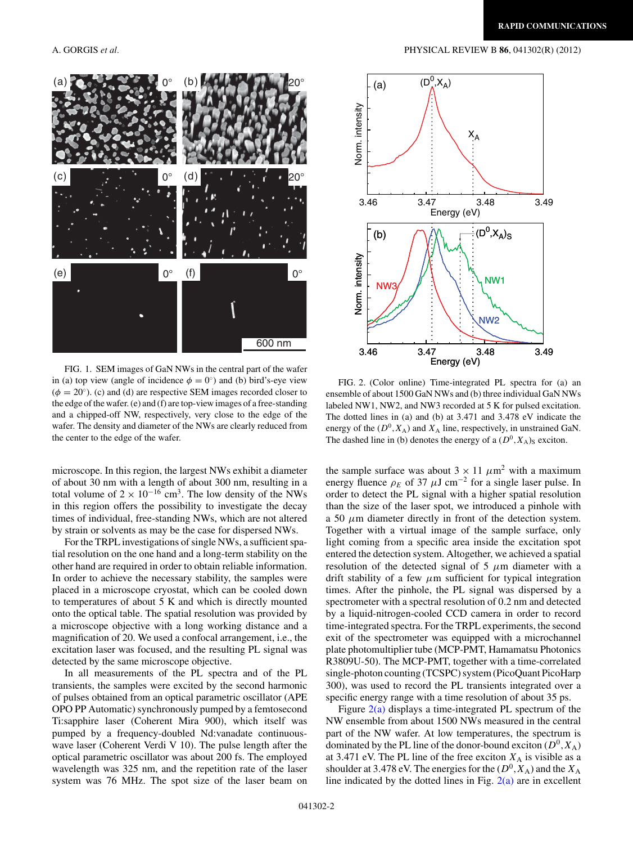

<span id="page-1-0"></span>

FIG. 1. SEM images of GaN NWs in the central part of the wafer in (a) top view (angle of incidence  $\phi = 0^{\circ}$ ) and (b) bird's-eye view  $(\phi = 20^{\circ})$ . (c) and (d) are respective SEM images recorded closer to the edge of the wafer. (e) and (f) are top-view images of a free-standing and a chipped-off NW, respectively, very close to the edge of the wafer. The density and diameter of the NWs are clearly reduced from the center to the edge of the wafer.

microscope. In this region, the largest NWs exhibit a diameter of about 30 nm with a length of about 300 nm, resulting in a total volume of  $2 \times 10^{-16}$  cm<sup>3</sup>. The low density of the NWs in this region offers the possibility to investigate the decay times of individual, free-standing NWs, which are not altered by strain or solvents as may be the case for dispersed NWs.

For the TRPL investigations of single NWs, a sufficient spatial resolution on the one hand and a long-term stability on the other hand are required in order to obtain reliable information. In order to achieve the necessary stability, the samples were placed in a microscope cryostat, which can be cooled down to temperatures of about 5 K and which is directly mounted onto the optical table. The spatial resolution was provided by a microscope objective with a long working distance and a magnification of 20. We used a confocal arrangement, i.e., the excitation laser was focused, and the resulting PL signal was detected by the same microscope objective.

In all measurements of the PL spectra and of the PL transients, the samples were excited by the second harmonic of pulses obtained from an optical parametric oscillator (APE OPO PP Automatic) synchronously pumped by a femtosecond Ti:sapphire laser (Coherent Mira 900), which itself was pumped by a frequency-doubled Nd:vanadate continuouswave laser (Coherent Verdi V 10). The pulse length after the optical parametric oscillator was about 200 fs. The employed wavelength was 325 nm, and the repetition rate of the laser system was 76 MHz. The spot size of the laser beam on

FIG. 2. (Color online) Time-integrated PL spectra for (a) an ensemble of about 1500 GaN NWs and (b) three individual GaN NWs labeled NW1, NW2, and NW3 recorded at 5 K for pulsed excitation. The dotted lines in (a) and (b) at 3*.*471 and 3*.*478 eV indicate the energy of the  $(D^0, X_A)$  and  $X_A$  line, respectively, in unstrained GaN. The dashed line in (b) denotes the energy of a  $(D^0, X_A)$ <sub>S</sub> exciton.

the sample surface was about  $3 \times 11 \ \mu m^2$  with a maximum energy fluence  $\rho_E$  of 37  $\mu$ J cm<sup>-2</sup> for a single laser pulse. In order to detect the PL signal with a higher spatial resolution than the size of the laser spot, we introduced a pinhole with a 50 *μ*m diameter directly in front of the detection system. Together with a virtual image of the sample surface, only light coming from a specific area inside the excitation spot entered the detection system. Altogether, we achieved a spatial resolution of the detected signal of  $5 \mu m$  diameter with a drift stability of a few *μ*m sufficient for typical integration times. After the pinhole, the PL signal was dispersed by a spectrometer with a spectral resolution of 0*.*2 nm and detected by a liquid-nitrogen-cooled CCD camera in order to record time-integrated spectra. For the TRPL experiments, the second exit of the spectrometer was equipped with a microchannel plate photomultiplier tube (MCP-PMT, Hamamatsu Photonics R3809U-50). The MCP-PMT, together with a time-correlated single-photon counting (TCSPC) system (PicoQuant PicoHarp 300), was used to record the PL transients integrated over a specific energy range with a time resolution of about 35 ps.

Figure  $2(a)$  displays a time-integrated PL spectrum of the NW ensemble from about 1500 NWs measured in the central part of the NW wafer. At low temperatures, the spectrum is dominated by the PL line of the donor-bound exciton  $(D^0, X_A)$ at 3.471 eV. The PL line of the free exciton  $X_A$  is visible as a shoulder at 3.478 eV. The energies for the  $(D^0, X_A)$  and the  $X_A$ line indicated by the dotted lines in Fig.  $2(a)$  are in excellent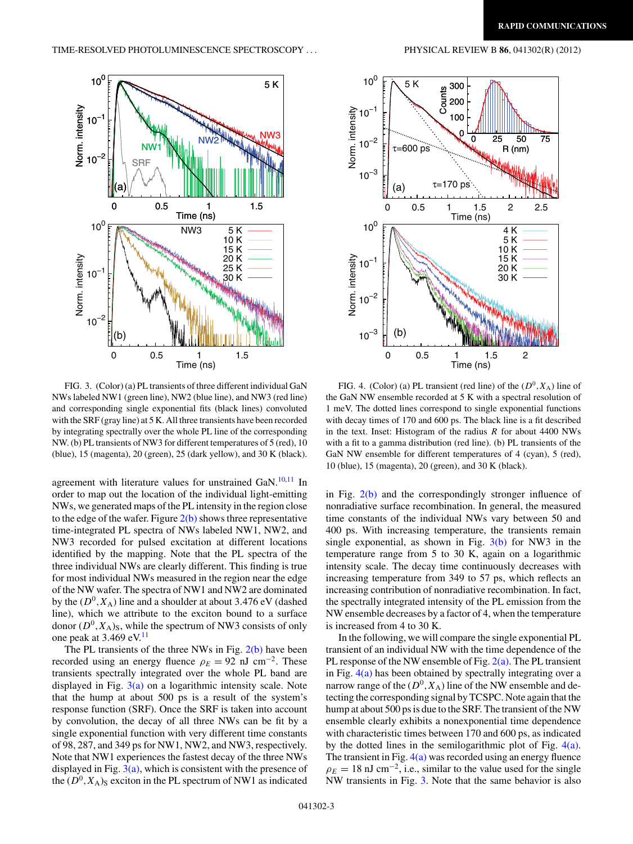<span id="page-2-0"></span>



FIG. 3. (Color) (a) PL transients of three different individual GaN NWs labeled NW1 (green line), NW2 (blue line), and NW3 (red line) and corresponding single exponential fits (black lines) convoluted with the SRF (gray line) at 5 K. All three transients have been recorded by integrating spectrally over the whole PL line of the corresponding NW. (b) PL transients of NW3 for different temperatures of 5 (red), 10 (blue), 15 (magenta), 20 (green), 25 (dark yellow), and 30 K (black).

agreement with literature values for unstrained GaN.<sup>10,11</sup> In order to map out the location of the individual light-emitting NWs, we generated maps of the PL intensity in the region close to the edge of the wafer. Figure  $2(b)$  shows three representative time-integrated PL spectra of NWs labeled NW1, NW2, and NW3 recorded for pulsed excitation at different locations identified by the mapping. Note that the PL spectra of the three individual NWs are clearly different. This finding is true for most individual NWs measured in the region near the edge of the NW wafer. The spectra of NW1 and NW2 are dominated by the  $(D^0, X_A)$  line and a shoulder at about 3.476 eV (dashed line), which we attribute to the exciton bound to a surface donor  $(D^0, X_A)_S$ , while the spectrum of NW3 consists of only one peak at 3*.*469 eV.[11](#page-4-0)

The PL transients of the three NWs in Fig.  $2(b)$  have been recorded using an energy fluence  $\rho_E = 92$  nJ cm<sup>-2</sup>. These transients spectrally integrated over the whole PL band are displayed in Fig. 3(a) on a logarithmic intensity scale. Note that the hump at about 500 ps is a result of the system's response function (SRF). Once the SRF is taken into account by convolution, the decay of all three NWs can be fit by a single exponential function with very different time constants of 98, 287, and 349 ps for NW1, NW2, and NW3, respectively. Note that NW1 experiences the fastest decay of the three NWs displayed in Fig.  $3(a)$ , which is consistent with the presence of the  $(D^0, X_A)$ <sub>S</sub> exciton in the PL spectrum of NW1 as indicated

FIG. 4. (Color) (a) PL transient (red line) of the  $(D^0, X_A)$  line of the GaN NW ensemble recorded at 5 K with a spectral resolution of 1 meV. The dotted lines correspond to single exponential functions with decay times of 170 and 600 ps. The black line is a fit described in the text. Inset: Histogram of the radius *R* for about 4400 NWs with a fit to a gamma distribution (red line). (b) PL transients of the GaN NW ensemble for different temperatures of 4 (cyan), 5 (red), 10 (blue), 15 (magenta), 20 (green), and 30 K (black).

in Fig. [2\(b\)](#page-1-0) and the correspondingly stronger influence of nonradiative surface recombination. In general, the measured time constants of the individual NWs vary between 50 and 400 ps. With increasing temperature, the transients remain single exponential, as shown in Fig.  $3(b)$  for NW3 in the temperature range from 5 to 30 K, again on a logarithmic intensity scale. The decay time continuously decreases with increasing temperature from 349 to 57 ps, which reflects an increasing contribution of nonradiative recombination. In fact, the spectrally integrated intensity of the PL emission from the NW ensemble decreases by a factor of 4, when the temperature is increased from 4 to 30 K.

In the following, we will compare the single exponential PL transient of an individual NW with the time dependence of the PL response of the NW ensemble of Fig.  $2(a)$ . The PL transient in Fig.  $4(a)$  has been obtained by spectrally integrating over a narrow range of the  $(D^0, X_A)$  line of the NW ensemble and detecting the corresponding signal by TCSPC. Note again that the hump at about 500 ps is due to the SRF. The transient of the NW ensemble clearly exhibits a nonexponential time dependence with characteristic times between 170 and 600 ps, as indicated by the dotted lines in the semilogarithmic plot of Fig. 4(a). The transient in Fig.  $4(a)$  was recorded using an energy fluence  $\rho_E = 18$  nJ cm<sup>-2</sup>, i.e., similar to the value used for the single NW transients in Fig. 3. Note that the same behavior is also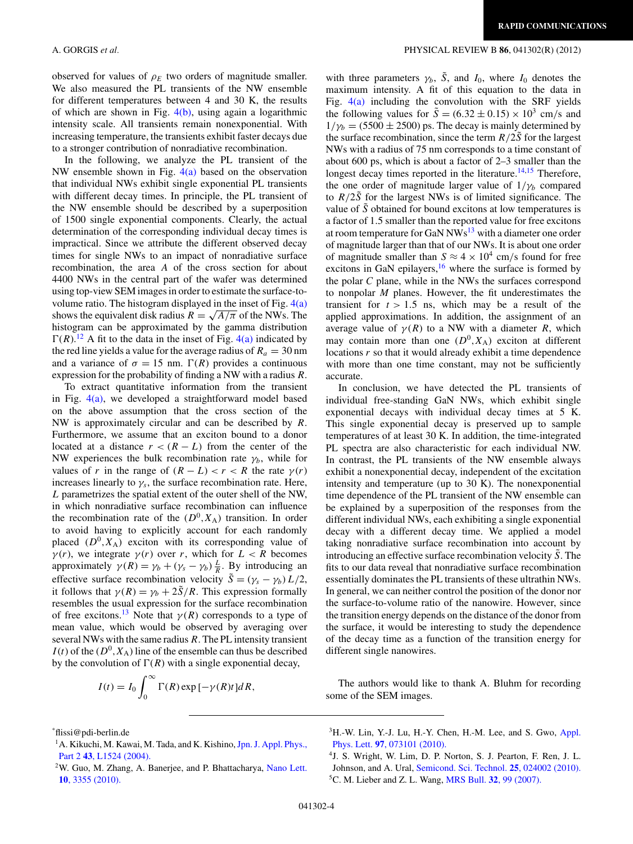<span id="page-3-0"></span>observed for values of  $\rho_E$  two orders of magnitude smaller. We also measured the PL transients of the NW ensemble for different temperatures between 4 and 30 K, the results of which are shown in Fig.  $4(b)$ , using again a logarithmic intensity scale. All transients remain nonexponential. With increasing temperature, the transients exhibit faster decays due to a stronger contribution of nonradiative recombination.

In the following, we analyze the PL transient of the NW ensemble shown in Fig.  $4(a)$  based on the observation that individual NWs exhibit single exponential PL transients with different decay times. In principle, the PL transient of the NW ensemble should be described by a superposition of 1500 single exponential components. Clearly, the actual determination of the corresponding individual decay times is impractical. Since we attribute the different observed decay times for single NWs to an impact of nonradiative surface recombination, the area *A* of the cross section for about 4400 NWs in the central part of the wafer was determined using top-view SEM images in order to estimate the surface-tovolume ratio. The histogram displayed in the inset of Fig.  $4(a)$ shows the equivalent disk radius  $R = \sqrt{A/\pi}$  of the NWs. The histogram can be approximated by the gamma distribution  $\Gamma(R)$ .<sup>[12](#page-4-0)</sup> A fit to the data in the inset of Fig. [4\(a\)](#page-2-0) indicated by the red line yields a value for the average radius of  $R_a = 30$  nm and a variance of  $\sigma = 15$  nm.  $\Gamma(R)$  provides a continuous expression for the probability of finding a NW with a radius *R*.

To extract quantitative information from the transient in Fig. [4\(a\),](#page-2-0) we developed a straightforward model based on the above assumption that the cross section of the NW is approximately circular and can be described by *R*. Furthermore, we assume that an exciton bound to a donor located at a distance  $r < (R - L)$  from the center of the NW experiences the bulk recombination rate  $\gamma_b$ , while for values of *r* in the range of  $(R - L) < r < R$  the rate  $\gamma(r)$ increases linearly to  $\gamma_s$ , the surface recombination rate. Here, *L* parametrizes the spatial extent of the outer shell of the NW, in which nonradiative surface recombination can influence the recombination rate of the  $(D^0, X_A)$  transition. In order to avoid having to explicitly account for each randomly placed  $(D^0, X_A)$  exciton with its corresponding value of *γ*(*r*), we integrate *γ*(*r*) over *r*, which for  $L < R$  becomes approximately  $\gamma(R) = \gamma_b + (\gamma_s - \gamma_b) \frac{L}{R}$ . By introducing an effective surface recombination velocity  $\tilde{S} = (\gamma_s - \gamma_b) L/2$ , it follows that  $\gamma(R) = \gamma_b + 2\tilde{S}/R$ . This expression formally resembles the usual expression for the surface recombination of free excitons.<sup>[13](#page-4-0)</sup> Note that  $\gamma(R)$  corresponds to a type of mean value, which would be observed by averaging over several NWs with the same radius *R*. The PL intensity transient  $I(t)$  of the  $(D^0, X_A)$  line of the ensemble can thus be described by the convolution of  $\Gamma(R)$  with a single exponential decay,

$$
I(t) = I_0 \int_0^\infty \Gamma(R) \exp[-\gamma(R)t] dR,
$$

## maximum intensity. A fit of this equation to the data in

Fig.  $4(a)$  including the convolution with the SRF yields the following values for  $\tilde{S} = (6.32 \pm 0.15) \times 10^3$  cm/s and  $1/\gamma_b = (5500 \pm 2500)$  ps. The decay is mainly determined by the surface recombination, since the term  $R/2\tilde{S}$  for the largest NWs with a radius of 75 nm corresponds to a time constant of about 600 ps, which is about a factor of 2–3 smaller than the longest decay times reported in the literature.<sup>14,15</sup> Therefore, the one order of magnitude larger value of  $1/\gamma_b$  compared to  $R/2\tilde{S}$  for the largest NWs is of limited significance. The value of  $\tilde{S}$  obtained for bound excitons at low temperatures is a factor of 1*.*5 smaller than the reported value for free excitons at room temperature for GaN  $NWs^{13}$  $NWs^{13}$  $NWs^{13}$  with a diameter one order of magnitude larger than that of our NWs. It is about one order of magnitude smaller than  $S \approx 4 \times 10^4$  cm/s found for free excitons in GaN epilayers, $16$  where the surface is formed by the polar *C* plane, while in the NWs the surfaces correspond to nonpolar *M* planes. However, the fit underestimates the transient for  $t > 1.5$  ns, which may be a result of the applied approximations. In addition, the assignment of an average value of  $\gamma(R)$  to a NW with a diameter *R*, which may contain more than one  $(D^0, X_A)$  exciton at different locations *r* so that it would already exhibit a time dependence with more than one time constant, may not be sufficiently accurate.

with three parameters  $\gamma_b$ ,  $\tilde{S}$ , and  $I_0$ , where  $I_0$  denotes the

In conclusion, we have detected the PL transients of individual free-standing GaN NWs, which exhibit single exponential decays with individual decay times at 5 K. This single exponential decay is preserved up to sample temperatures of at least 30 K. In addition, the time-integrated PL spectra are also characteristic for each individual NW. In contrast, the PL transients of the NW ensemble always exhibit a nonexponential decay, independent of the excitation intensity and temperature (up to 30 K). The nonexponential time dependence of the PL transient of the NW ensemble can be explained by a superposition of the responses from the different individual NWs, each exhibiting a single exponential decay with a different decay time. We applied a model taking nonradiative surface recombination into account by introducing an effective surface recombination velocity  $\tilde{S}$ . The fits to our data reveal that nonradiative surface recombination essentially dominates the PL transients of these ultrathin NWs. In general, we can neither control the position of the donor nor the surface-to-volume ratio of the nanowire. However, since the transition energy depends on the distance of the donor from the surface, it would be interesting to study the dependence of the decay time as a function of the transition energy for different single nanowires.

The authors would like to thank A. Bluhm for recording some of the SEM images.

\* flissi@pdi-berlin.de

<sup>1</sup>A. Kikuchi, M. Kawai, M. Tada, and K. Kishino, [Jpn. J. Appl. Phys.,](http://dx.doi.org/10.1143/JJAP.43.L1524) Part 2 **43**[, L1524 \(2004\).](http://dx.doi.org/10.1143/JJAP.43.L1524)

<sup>&</sup>lt;sup>2</sup>W. Guo, M. Zhang, A. Banerjee, and P. Bhattacharya, [Nano Lett.](http://dx.doi.org/10.1021/nl101027x) **10**[, 3355 \(2010\).](http://dx.doi.org/10.1021/nl101027x)

<sup>&</sup>lt;sup>3</sup>H.-W. Lin, Y.-J. Lu, H.-Y. Chen, H.-M. Lee, and S. Gwo, [Appl.](http://dx.doi.org/10.1063/1.3478515) Phys. Lett. **97**[, 073101 \(2010\).](http://dx.doi.org/10.1063/1.3478515)

<sup>4</sup>J. S. Wright, W. Lim, D. P. Norton, S. J. Pearton, F. Ren, J. L. Johnson, and A. Ural, [Semicond. Sci. Technol.](http://dx.doi.org/10.1088/0268-1242/25/2/024002) **25**, 024002 (2010). 5C. M. Lieber and Z. L. Wang, MRS Bull. **32**[, 99 \(2007\).](http://dx.doi.org/10.1557/mrs2007.41)